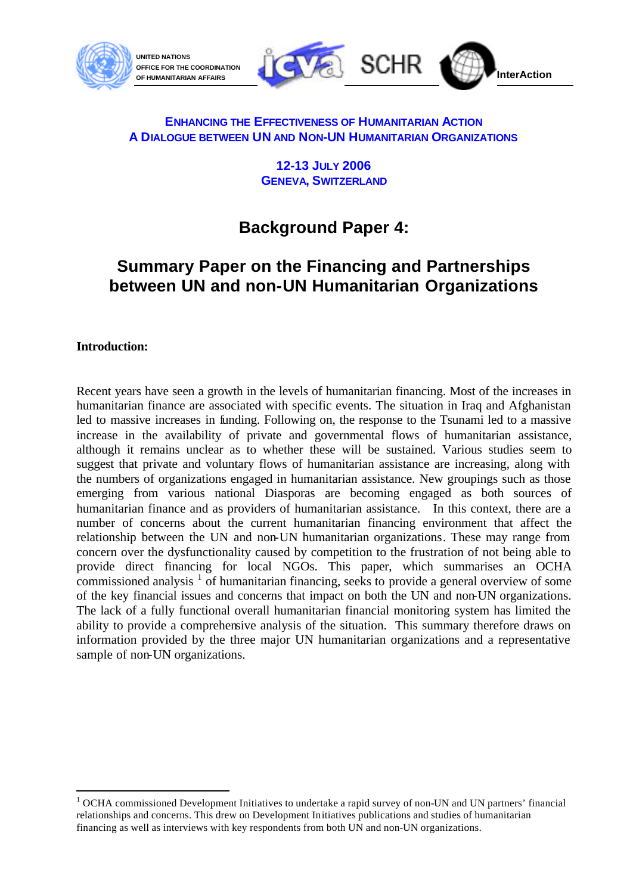



#### **ENHANCING THE EFFECTIVENESS OF HUMANITARIAN ACTION A DIALOGUE BETWEEN UN AND NON-UN HUMANITARIAN ORGANIZATIONS**

**12-13 JULY 2006 GENEVA, SWITZERLAND**

# **Background Paper 4:**

## **Summary Paper on the Financing and Partnerships between UN and non-UN Humanitarian Organizations**

#### **Introduction:**

l

Recent years have seen a growth in the levels of humanitarian financing. Most of the increases in humanitarian finance are associated with specific events. The situation in Iraq and Afghanistan led to massive increases in funding. Following on, the response to the Tsunami led to a massive increase in the availability of private and governmental flows of humanitarian assistance, although it remains unclear as to whether these will be sustained. Various studies seem to suggest that private and voluntary flows of humanitarian assistance are increasing, along with the numbers of organizations engaged in humanitarian assistance. New groupings such as those emerging from various national Diasporas are becoming engaged as both sources of humanitarian finance and as providers of humanitarian assistance. In this context, there are a number of concerns about the current humanitarian financing environment that affect the relationship between the UN and non-UN humanitarian organizations. These may range from concern over the dysfunctionality caused by competition to the frustration of not being able to provide direct financing for local NGOs. This paper, which summarises an OCHA commissioned analysis  $1$  of humanitarian financing, seeks to provide a general overview of some of the key financial issues and concerns that impact on both the UN and non-UN organizations. The lack of a fully functional overall humanitarian financial monitoring system has limited the ability to provide a comprehensive analysis of the situation. This summary therefore draws on information provided by the three major UN humanitarian organizations and a representative sample of non-UN organizations.

<sup>&</sup>lt;sup>1</sup> OCHA commissioned Development Initiatives to undertake a rapid survey of non-UN and UN partners' financial relationships and concerns. This drew on Development Initiatives publications and studies of humanitarian financing as well as interviews with key respondents from both UN and non-UN organizations.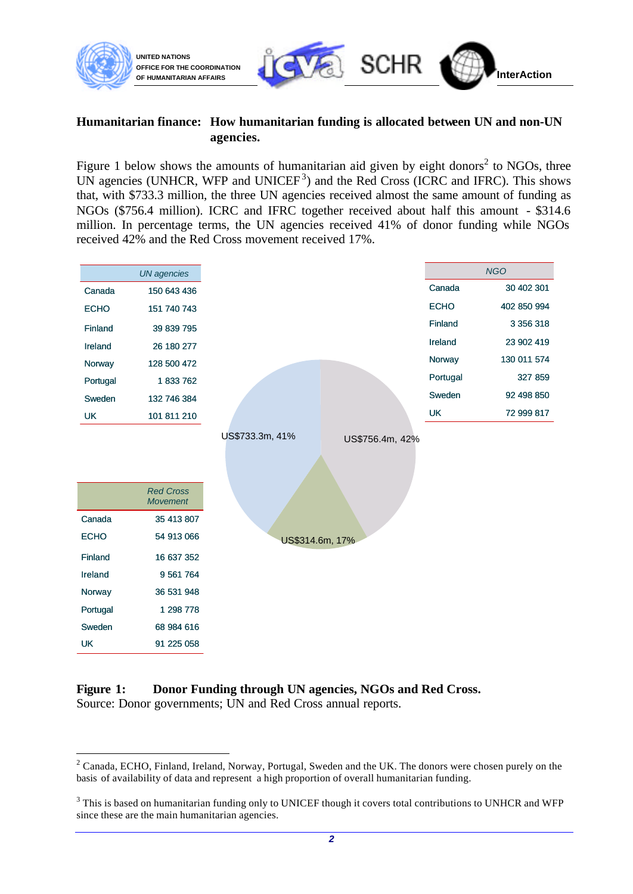

#### **Humanitarian finance: How humanitarian funding is allocated between UN and non-UN agencies.**

Figure 1 below shows the amounts of humanitarian aid given by eight donors<sup>2</sup> to NGOs, three UN agencies (UNHCR, WFP and UNICEF<sup>3</sup>) and the Red Cross (ICRC and IFRC). This shows that, with \$733.3 million, the three UN agencies received almost the same amount of funding as NGOs (\$756.4 million). ICRC and IFRC together received about half this amount - \$314.6 million. In percentage terms, the UN agencies received 41% of donor funding while NGOs received 42% and the Red Cross movement received 17%.



#### **Figure 1: Donor Funding through UN agencies, NGOs and Red Cross.**  Source: Donor governments; UN and Red Cross annual reports.

l

 $2^2$  Canada, ECHO, Finland, Ireland, Norway, Portugal, Sweden and the UK. The donors were chosen purely on the basis of availability of data and represent a high proportion of overall humanitarian funding.

 $3$  This is based on humanitarian funding only to UNICEF though it covers total contributions to UNHCR and WFP since these are the main humanitarian agencies.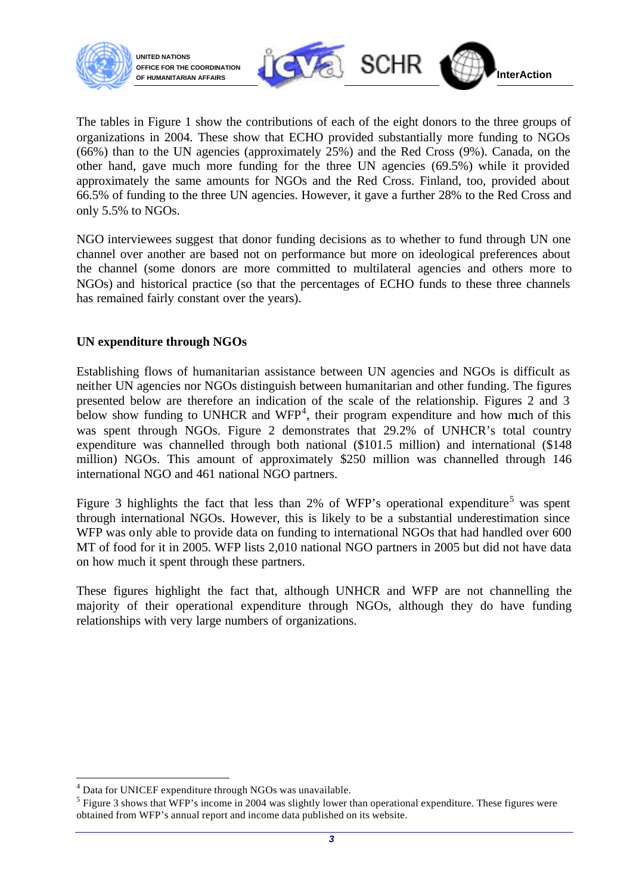



The tables in Figure 1 show the contributions of each of the eight donors to the three groups of organizations in 2004. These show that ECHO provided substantially more funding to NGOs (66%) than to the UN agencies (approximately 25%) and the Red Cross (9%). Canada, on the other hand, gave much more funding for the three UN agencies (69.5%) while it provided approximately the same amounts for NGOs and the Red Cross. Finland, too, provided about 66.5% of funding to the three UN agencies. However, it gave a further 28% to the Red Cross and only 5.5% to NGOs.

NGO interviewees suggest that donor funding decisions as to whether to fund through UN one channel over another are based not on performance but more on ideological preferences about the channel (some donors are more committed to multilateral agencies and others more to NGOs) and historical practice (so that the percentages of ECHO funds to these three channels has remained fairly constant over the years).

#### **UN expenditure through NGOs**

Establishing flows of humanitarian assistance between UN agencies and NGOs is difficult as neither UN agencies nor NGOs distinguish between humanitarian and other funding. The figures presented below are therefore an indication of the scale of the relationship. Figures 2 and 3 below show funding to UNHCR and  $WFP<sup>4</sup>$ , their program expenditure and how much of this was spent through NGOs. Figure 2 demonstrates that 29.2% of UNHCR's total country expenditure was channelled through both national (\$101.5 million) and international (\$148 million) NGOs. This amount of approximately \$250 million was channelled through 146 international NGO and 461 national NGO partners.

Figure 3 highlights the fact that less than 2% of WFP's operational expenditure<sup>5</sup> was spent through international NGOs. However, this is likely to be a substantial underestimation since WFP was only able to provide data on funding to international NGOs that had handled over 600 MT of food for it in 2005. WFP lists 2,010 national NGO partners in 2005 but did not have data on how much it spent through these partners.

These figures highlight the fact that, although UNHCR and WFP are not channelling the majority of their operational expenditure through NGOs, although they do have funding relationships with very large numbers of organizations.

l

<sup>&</sup>lt;sup>4</sup> Data for UNICEF expenditure through NGOs was unavailable.

 $<sup>5</sup>$  Figure 3 shows that WFP's income in 2004 was slightly lower than operational expenditure. These figures were</sup> obtained from WFP's annual report and income data published on its website.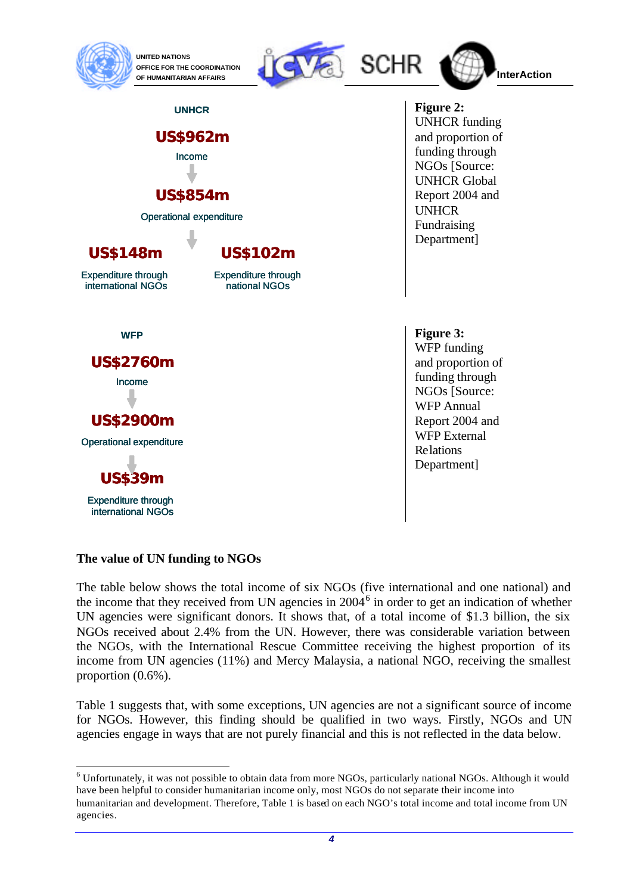

> **US\$962m** Income

**UNHCR**

**US\$854m**

Operational expenditure

**US\$102m** Expenditure through national NGOs





 **Figure 2:** UNHCR funding and proportion of funding through NGOs [Source: UNHCR Global Report 2004 and UNHCR Fundraising Department]

 **Figure 3:** WFP funding and proportion of funding through NGOs [Source: WFP Annual Report 2004 and WFP External Relations Department]

**US\$148m** Expenditure through international NGOs

**WFP**

**US\$2760m**

Income

**US\$2900m** Operational expenditure

**US\$39m** Expenditure through international NGOs

l

**The value of UN funding to NGOs**

The table below shows the total income of six NGOs (five international and one national) and the income that they received from UN agencies in 2004<sup>6</sup> in order to get an indication of whether UN agencies were significant donors. It shows that, of a total income of \$1.3 billion, the six NGOs received about 2.4% from the UN. However, there was considerable variation between the NGOs, with the International Rescue Committee receiving the highest proportion of its income from UN agencies (11%) and Mercy Malaysia, a national NGO, receiving the smallest proportion (0.6%).

Table 1 suggests that, with some exceptions, UN agencies are not a significant source of income for NGOs. However, this finding should be qualified in two ways. Firstly, NGOs and UN agencies engage in ways that are not purely financial and this is not reflected in the data below.

 $6$  Unfortunately, it was not possible to obtain data from more NGOs, particularly national NGOs. Although it would have been helpful to consider humanitarian income only, most NGOs do not separate their income into humanitarian and development. Therefore, Table 1 is based on each NGO's total income and total income from UN agencies.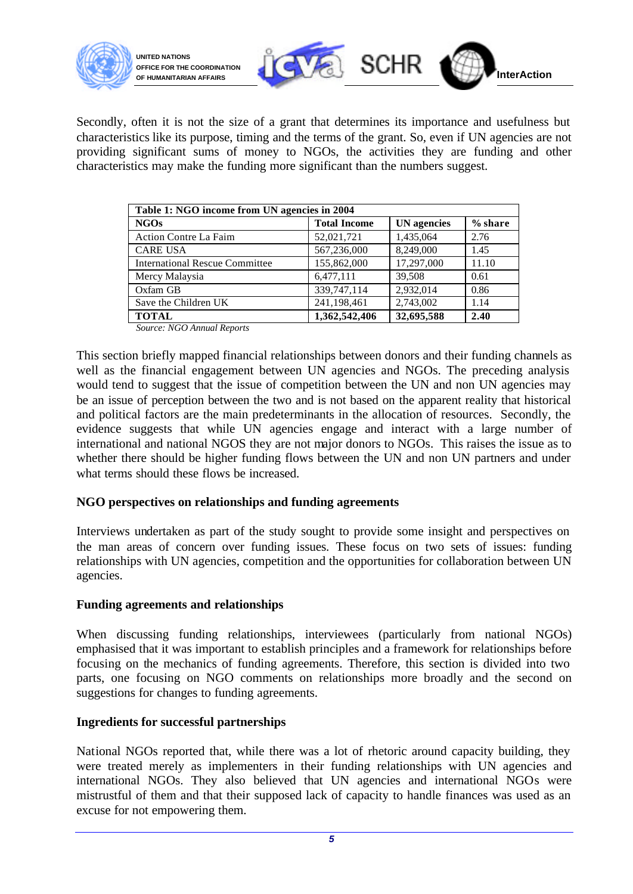



Secondly, often it is not the size of a grant that determines its importance and usefulness but characteristics like its purpose, timing and the terms of the grant. So, even if UN agencies are not providing significant sums of money to NGOs, the activities they are funding and other characteristics may make the funding more significant than the numbers suggest.

| Table 1: NGO income from UN agencies in 2004 |                     |                    |           |
|----------------------------------------------|---------------------|--------------------|-----------|
| <b>NGOs</b>                                  | <b>Total Income</b> | <b>UN</b> agencies | $%$ share |
| <b>Action Contre La Faim</b>                 | 52,021,721          | 1,435,064          | 2.76      |
| <b>CARE USA</b>                              | 567,236,000         | 8,249,000          | 1.45      |
| <b>International Rescue Committee</b>        | 155,862,000         | 17,297,000         | 11.10     |
| Mercy Malaysia                               | 6,477,111           | 39,508             | 0.61      |
| Oxfam GB                                     | 339,747,114         | 2,932,014          | 0.86      |
| Save the Children UK                         | 241,198,461         | 2,743,002          | 1.14      |
| <b>TOTAL</b>                                 | 1,362,542,406       | 32,695,588         | 2.40      |

 *Source: NGO Annual Reports*

This section briefly mapped financial relationships between donors and their funding channels as well as the financial engagement between UN agencies and NGOs. The preceding analysis would tend to suggest that the issue of competition between the UN and non UN agencies may be an issue of perception between the two and is not based on the apparent reality that historical and political factors are the main predeterminants in the allocation of resources. Secondly, the evidence suggests that while UN agencies engage and interact with a large number of international and national NGOS they are not major donors to NGOs. This raises the issue as to whether there should be higher funding flows between the UN and non UN partners and under what terms should these flows be increased.

#### **NGO perspectives on relationships and funding agreements**

Interviews undertaken as part of the study sought to provide some insight and perspectives on the man areas of concern over funding issues. These focus on two sets of issues: funding relationships with UN agencies, competition and the opportunities for collaboration between UN agencies.

#### **Funding agreements and relationships**

When discussing funding relationships, interviewees (particularly from national NGOs) emphasised that it was important to establish principles and a framework for relationships before focusing on the mechanics of funding agreements. Therefore, this section is divided into two parts, one focusing on NGO comments on relationships more broadly and the second on suggestions for changes to funding agreements.

#### **Ingredients for successful partnerships**

National NGOs reported that, while there was a lot of rhetoric around capacity building, they were treated merely as implementers in their funding relationships with UN agencies and international NGOs. They also believed that UN agencies and international NGOs were mistrustful of them and that their supposed lack of capacity to handle finances was used as an excuse for not empowering them.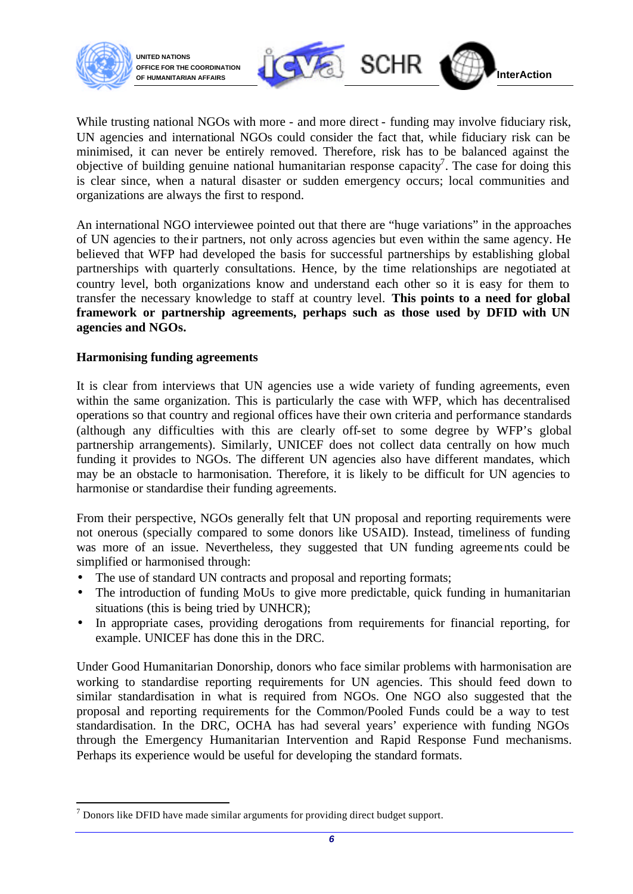

l

**UNITED NATIONS OFFICE FOR THE COORDINATION**



While trusting national NGOs with more - and more direct - funding may involve fiduciary risk, UN agencies and international NGOs could consider the fact that, while fiduciary risk can be minimised, it can never be entirely removed. Therefore, risk has to be balanced against the objective of building genuine national humanitarian response capacity<sup>7</sup>. The case for doing this is clear since, when a natural disaster or sudden emergency occurs; local communities and organizations are always the first to respond.

An international NGO interviewee pointed out that there are "huge variations" in the approaches of UN agencies to their partners, not only across agencies but even within the same agency. He believed that WFP had developed the basis for successful partnerships by establishing global partnerships with quarterly consultations. Hence, by the time relationships are negotiated at country level, both organizations know and understand each other so it is easy for them to transfer the necessary knowledge to staff at country level. **This points to a need for global framework or partnership agreements, perhaps such as those used by DFID with UN agencies and NGOs.**

#### **Harmonising funding agreements**

It is clear from interviews that UN agencies use a wide variety of funding agreements, even within the same organization. This is particularly the case with WFP, which has decentralised operations so that country and regional offices have their own criteria and performance standards (although any difficulties with this are clearly off-set to some degree by WFP's global partnership arrangements). Similarly, UNICEF does not collect data centrally on how much funding it provides to NGOs. The different UN agencies also have different mandates, which may be an obstacle to harmonisation. Therefore, it is likely to be difficult for UN agencies to harmonise or standardise their funding agreements.

From their perspective, NGOs generally felt that UN proposal and reporting requirements were not onerous (specially compared to some donors like USAID). Instead, timeliness of funding was more of an issue. Nevertheless, they suggested that UN funding agreements could be simplified or harmonised through:

- The use of standard UN contracts and proposal and reporting formats;
- The introduction of funding MoUs to give more predictable, quick funding in humanitarian situations (this is being tried by UNHCR);
- In appropriate cases, providing derogations from requirements for financial reporting, for example. UNICEF has done this in the DRC.

Under Good Humanitarian Donorship, donors who face similar problems with harmonisation are working to standardise reporting requirements for UN agencies. This should feed down to similar standardisation in what is required from NGOs. One NGO also suggested that the proposal and reporting requirements for the Common/Pooled Funds could be a way to test standardisation. In the DRC, OCHA has had several years' experience with funding NGOs through the Emergency Humanitarian Intervention and Rapid Response Fund mechanisms. Perhaps its experience would be useful for developing the standard formats.

 $<sup>7</sup>$  Donors like DFID have made similar arguments for providing direct budget support.</sup>